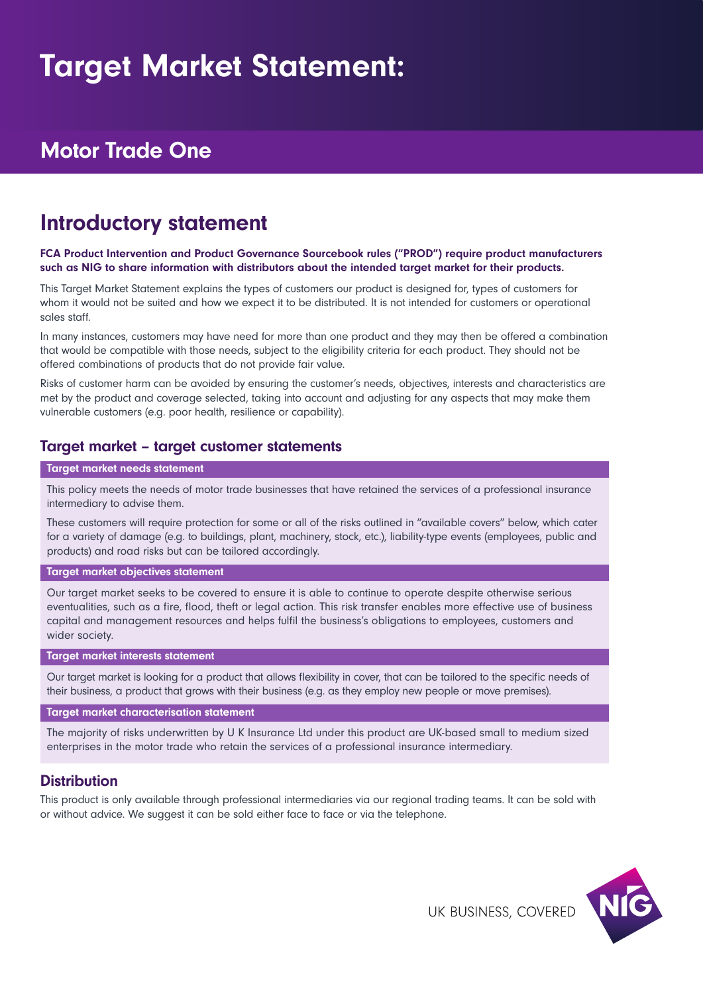# Target Market Statement:

## Motor Trade One

## Introductory statement

#### FCA Product Intervention and Product Governance Sourcebook rules ("PROD") require product manufacturers such as NIG to share information with distributors about the intended target market for their products.

This Target Market Statement explains the types of customers our product is designed for, types of customers for whom it would not be suited and how we expect it to be distributed. It is not intended for customers or operational sales staff.

In many instances, customers may have need for more than one product and they may then be offered a combination that would be compatible with those needs, subject to the eligibility criteria for each product. They should not be offered combinations of products that do not provide fair value.

Risks of customer harm can be avoided by ensuring the customer's needs, objectives, interests and characteristics are met by the product and coverage selected, taking into account and adjusting for any aspects that may make them vulnerable customers (e.g. poor health, resilience or capability).

### Target market – target customer statements

#### Target market needs statement

This policy meets the needs of motor trade businesses that have retained the services of a professional insurance intermediary to advise them.

These customers will require protection for some or all of the risks outlined in "available covers" below, which cater for a variety of damage (e.g. to buildings, plant, machinery, stock, etc.), liability-type events (employees, public and products) and road risks but can be tailored accordingly.

#### Target market objectives statement

Our target market seeks to be covered to ensure it is able to continue to operate despite otherwise serious eventualities, such as a fire, flood, theft or legal action. This risk transfer enables more effective use of business capital and management resources and helps fulfil the business's obligations to employees, customers and wider society.

#### Target market interests statement

Our target market is looking for a product that allows flexibility in cover, that can be tailored to the specific needs of their business, a product that grows with their business (e.g. as they employ new people or move premises).

#### Target market characterisation statement

The majority of risks underwritten by U K Insurance Ltd under this product are UK-based small to medium sized enterprises in the motor trade who retain the services of a professional insurance intermediary.

### **Distribution**

This product is only available through professional intermediaries via our regional trading teams. It can be sold with or without advice. We suggest it can be sold either face to face or via the telephone.

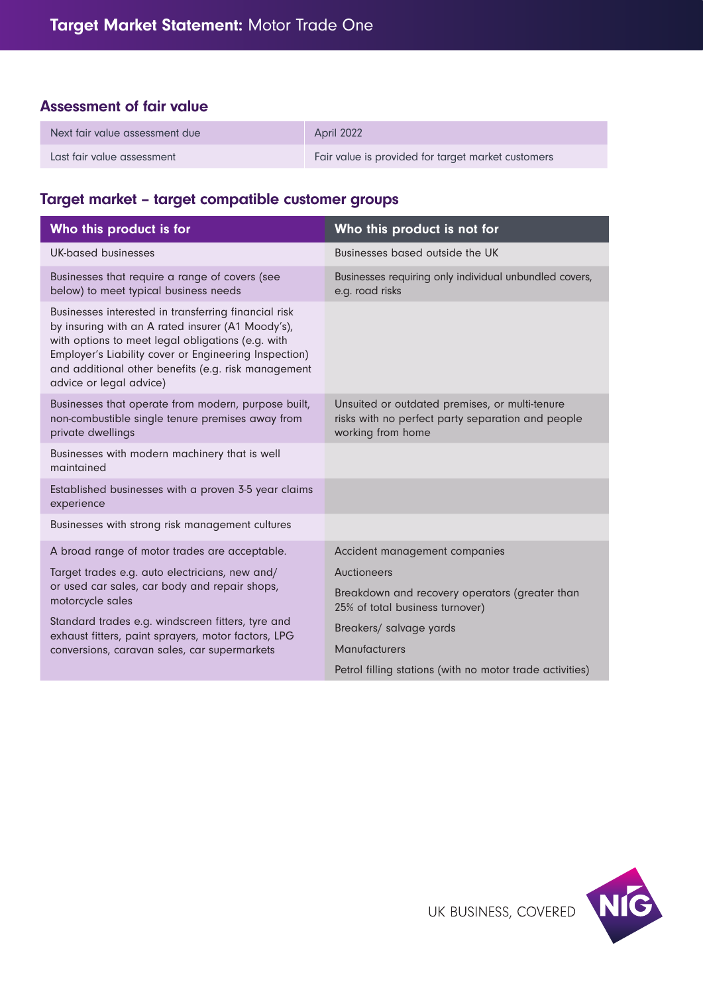## Assessment of fair value

| Next fair value assessment due | April 2022                                         |
|--------------------------------|----------------------------------------------------|
| Last fair value assessment     | Fair value is provided for target market customers |

## Target market – target compatible customer groups

| Who this product is for                                                                                                                                                                                                                                                                                   | Who this product is not for                                                                                              |
|-----------------------------------------------------------------------------------------------------------------------------------------------------------------------------------------------------------------------------------------------------------------------------------------------------------|--------------------------------------------------------------------------------------------------------------------------|
| UK-based businesses                                                                                                                                                                                                                                                                                       | Businesses based outside the UK                                                                                          |
| Businesses that require a range of covers (see<br>below) to meet typical business needs                                                                                                                                                                                                                   | Businesses requiring only individual unbundled covers,<br>e.g. road risks                                                |
| Businesses interested in transferring financial risk<br>by insuring with an A rated insurer (A1 Moody's),<br>with options to meet legal obligations (e.g. with<br>Employer's Liability cover or Engineering Inspection)<br>and additional other benefits (e.g. risk management<br>advice or legal advice) |                                                                                                                          |
| Businesses that operate from modern, purpose built,<br>non-combustible single tenure premises away from<br>private dwellings                                                                                                                                                                              | Unsuited or outdated premises, or multi-tenure<br>risks with no perfect party separation and people<br>working from home |
| Businesses with modern machinery that is well<br>maintained                                                                                                                                                                                                                                               |                                                                                                                          |
| Established businesses with a proven 3-5 year claims<br>experience                                                                                                                                                                                                                                        |                                                                                                                          |
| Businesses with strong risk management cultures                                                                                                                                                                                                                                                           |                                                                                                                          |
| A broad range of motor trades are acceptable.                                                                                                                                                                                                                                                             | Accident management companies                                                                                            |
| Target trades e.g. auto electricians, new and/<br>or used car sales, car body and repair shops,<br>motorcycle sales<br>Standard trades e.g. windscreen fitters, tyre and<br>exhaust fitters, paint sprayers, motor factors, LPG<br>conversions, caravan sales, car supermarkets                           | <b>Auctioneers</b>                                                                                                       |
|                                                                                                                                                                                                                                                                                                           | Breakdown and recovery operators (greater than<br>25% of total business turnover)                                        |
|                                                                                                                                                                                                                                                                                                           | Breakers/ salvage yards                                                                                                  |
|                                                                                                                                                                                                                                                                                                           | Manufacturers                                                                                                            |
|                                                                                                                                                                                                                                                                                                           | Petrol filling stations (with no motor trade activities)                                                                 |